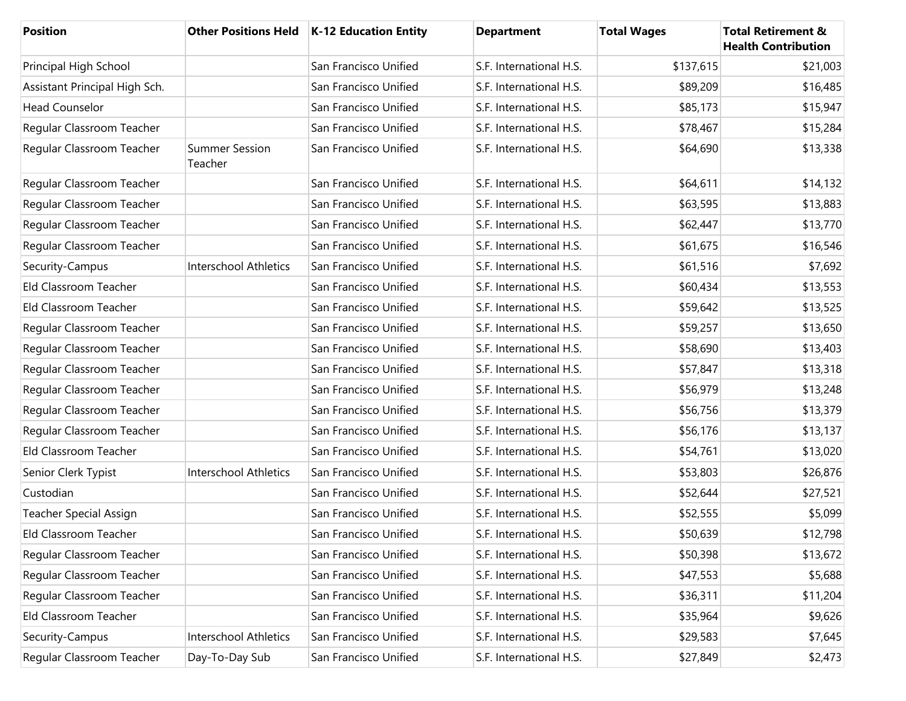| Position                      |                                  | Other Positions Held   K-12 Education Entity | <b>Department</b>       | <b>Total Wages</b> | <b>Total Retirement &amp;</b><br><b>Health Contribution</b> |
|-------------------------------|----------------------------------|----------------------------------------------|-------------------------|--------------------|-------------------------------------------------------------|
| Principal High School         |                                  | San Francisco Unified                        | S.F. International H.S. | \$137,615          | \$21,003                                                    |
| Assistant Principal High Sch. |                                  | San Francisco Unified                        | S.F. International H.S. | \$89,209           | \$16,485                                                    |
| <b>Head Counselor</b>         |                                  | San Francisco Unified                        | S.F. International H.S. | \$85,173           | \$15,947                                                    |
| Regular Classroom Teacher     |                                  | San Francisco Unified                        | S.F. International H.S. | \$78,467           | \$15,284                                                    |
| Regular Classroom Teacher     | <b>Summer Session</b><br>Teacher | San Francisco Unified                        | S.F. International H.S. | \$64,690           | \$13,338                                                    |
| Regular Classroom Teacher     |                                  | San Francisco Unified                        | S.F. International H.S. | \$64,611           | \$14,132                                                    |
| Regular Classroom Teacher     |                                  | San Francisco Unified                        | S.F. International H.S. | \$63,595           | \$13,883                                                    |
| Regular Classroom Teacher     |                                  | San Francisco Unified                        | S.F. International H.S. | \$62,447           | \$13,770                                                    |
| Regular Classroom Teacher     |                                  | San Francisco Unified                        | S.F. International H.S. | \$61,675           | \$16,546                                                    |
| Security-Campus               | Interschool Athletics            | San Francisco Unified                        | S.F. International H.S. | \$61,516           | \$7,692                                                     |
| Eld Classroom Teacher         |                                  | San Francisco Unified                        | S.F. International H.S. | \$60,434           | \$13,553                                                    |
| Eld Classroom Teacher         |                                  | San Francisco Unified                        | S.F. International H.S. | \$59,642           | \$13,525                                                    |
| Regular Classroom Teacher     |                                  | San Francisco Unified                        | S.F. International H.S. | \$59,257           | \$13,650                                                    |
| Regular Classroom Teacher     |                                  | San Francisco Unified                        | S.F. International H.S. | \$58,690           | \$13,403                                                    |
| Regular Classroom Teacher     |                                  | San Francisco Unified                        | S.F. International H.S. | \$57,847           | \$13,318                                                    |
| Regular Classroom Teacher     |                                  | San Francisco Unified                        | S.F. International H.S. | \$56,979           | \$13,248                                                    |
| Regular Classroom Teacher     |                                  | San Francisco Unified                        | S.F. International H.S. | \$56,756           | \$13,379                                                    |
| Regular Classroom Teacher     |                                  | San Francisco Unified                        | S.F. International H.S. | \$56,176           | \$13,137                                                    |
| Eld Classroom Teacher         |                                  | San Francisco Unified                        | S.F. International H.S. | \$54,761           | \$13,020                                                    |
| Senior Clerk Typist           | Interschool Athletics            | San Francisco Unified                        | S.F. International H.S. | \$53,803           | \$26,876                                                    |
| Custodian                     |                                  | San Francisco Unified                        | S.F. International H.S. | \$52,644           | \$27,521                                                    |
| Teacher Special Assign        |                                  | San Francisco Unified                        | S.F. International H.S. | \$52,555           | \$5,099                                                     |
| Eld Classroom Teacher         |                                  | San Francisco Unified                        | S.F. International H.S. | \$50,639           | \$12,798                                                    |
| Regular Classroom Teacher     |                                  | San Francisco Unified                        | S.F. International H.S. | \$50,398           | \$13,672                                                    |
| Regular Classroom Teacher     |                                  | San Francisco Unified                        | S.F. International H.S. | \$47,553           | \$5,688                                                     |
| Regular Classroom Teacher     |                                  | San Francisco Unified                        | S.F. International H.S. | \$36,311           | \$11,204                                                    |
| Eld Classroom Teacher         |                                  | San Francisco Unified                        | S.F. International H.S. | \$35,964           | \$9,626                                                     |
| Security-Campus               | Interschool Athletics            | San Francisco Unified                        | S.F. International H.S. | \$29,583           | \$7,645                                                     |
| Regular Classroom Teacher     | Day-To-Day Sub                   | San Francisco Unified                        | S.F. International H.S. | \$27,849           | \$2,473                                                     |